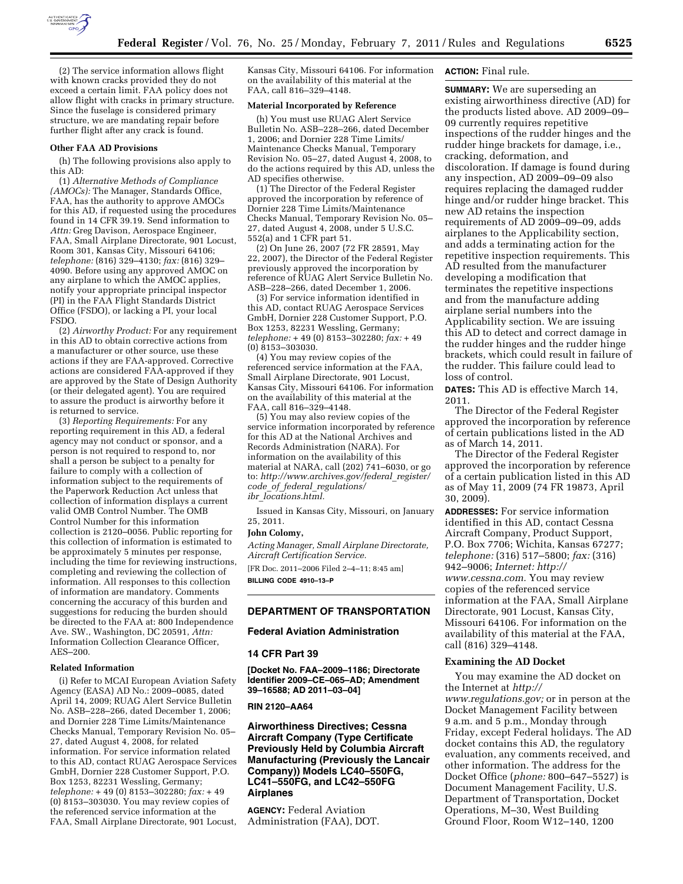

(2) The service information allows flight with known cracks provided they do not exceed a certain limit. FAA policy does not allow flight with cracks in primary structure. Since the fuselage is considered primary structure, we are mandating repair before further flight after any crack is found.

### **Other FAA AD Provisions**

(h) The following provisions also apply to this AD:

(1) *Alternative Methods of Compliance (AMOCs):* The Manager, Standards Office, FAA, has the authority to approve AMOCs for this AD, if requested using the procedures found in 14 CFR 39.19. Send information to *Attn:* Greg Davison, Aerospace Engineer, FAA, Small Airplane Directorate, 901 Locust, Room 301, Kansas City, Missouri 64106; *telephone:* (816) 329–4130; *fax:* (816) 329– 4090. Before using any approved AMOC on any airplane to which the AMOC applies, notify your appropriate principal inspector (PI) in the FAA Flight Standards District Office (FSDO), or lacking a PI, your local FSDO.

(2) *Airworthy Product:* For any requirement in this AD to obtain corrective actions from a manufacturer or other source, use these actions if they are FAA-approved. Corrective actions are considered FAA-approved if they are approved by the State of Design Authority (or their delegated agent). You are required to assure the product is airworthy before it is returned to service.

(3) *Reporting Requirements:* For any reporting requirement in this AD, a federal agency may not conduct or sponsor, and a person is not required to respond to, nor shall a person be subject to a penalty for failure to comply with a collection of information subject to the requirements of the Paperwork Reduction Act unless that collection of information displays a current valid OMB Control Number. The OMB Control Number for this information collection is 2120–0056. Public reporting for this collection of information is estimated to be approximately 5 minutes per response, including the time for reviewing instructions, completing and reviewing the collection of information. All responses to this collection of information are mandatory. Comments concerning the accuracy of this burden and suggestions for reducing the burden should be directed to the FAA at: 800 Independence Ave. SW., Washington, DC 20591, *Attn:*  Information Collection Clearance Officer, AES–200.

# **Related Information**

(i) Refer to MCAI European Aviation Safety Agency (EASA) AD No.: 2009–0085, dated April 14, 2009; RUAG Alert Service Bulletin No. ASB–228–266, dated December 1, 2006; and Dornier 228 Time Limits/Maintenance Checks Manual, Temporary Revision No. 05– 27, dated August 4, 2008, for related information. For service information related to this AD, contact RUAG Aerospace Services GmbH, Dornier 228 Customer Support, P.O. Box 1253, 82231 Wessling, Germany; *telephone:* + 49 (0) 8153–302280; *fax:* + 49 (0) 8153–303030. You may review copies of the referenced service information at the FAA, Small Airplane Directorate, 901 Locust,

Kansas City, Missouri 64106. For information on the availability of this material at the FAA, call 816–329–4148.

### **Material Incorporated by Reference**

(h) You must use RUAG Alert Service Bulletin No. ASB–228–266, dated December 1, 2006; and Dornier 228 Time Limits/ Maintenance Checks Manual, Temporary Revision No. 05–27, dated August  $4$ , 2008, to do the actions required by this AD, unless the AD specifies otherwise.

(1) The Director of the Federal Register approved the incorporation by reference of Dornier 228 Time Limits/Maintenance Checks Manual, Temporary Revision No. 05– 27, dated August 4, 2008, under 5 U.S.C. 552(a) and 1 CFR part 51.

(2) On June 26, 2007 (72 FR 28591, May 22, 2007), the Director of the Federal Register previously approved the incorporation by reference of RUAG Alert Service Bulletin No. ASB–228–266, dated December 1, 2006.

(3) For service information identified in this AD, contact RUAG Aerospace Services GmbH, Dornier 228 Customer Support, P.O. Box 1253, 82231 Wessling, Germany; *telephone:* + 49 (0) 8153–302280; *fax:* + 49 (0) 8153–303030.

(4) You may review copies of the referenced service information at the FAA, Small Airplane Directorate, 901 Locust, Kansas City, Missouri 64106. For information on the availability of this material at the FAA, call 816–329–4148.

(5) You may also review copies of the service information incorporated by reference for this AD at the National Archives and Records Administration (NARA). For information on the availability of this material at NARA, call (202) 741–6030, or go to: *[http://www.archives.gov/federal](http://www.archives.gov/federal_register/code_of_federal_regulations/ibr_locations.html)*\_*register/ code*\_*of*\_*federal*\_*[regulations/](http://www.archives.gov/federal_register/code_of_federal_regulations/ibr_locations.html) ibr*\_*[locations.html.](http://www.archives.gov/federal_register/code_of_federal_regulations/ibr_locations.html)* 

Issued in Kansas City, Missouri, on January 25, 2011.

## **John Colomy,**

*Acting Manager, Small Airplane Directorate, Aircraft Certification Service.* 

[FR Doc. 2011–2006 Filed 2–4–11; 8:45 am] **BILLING CODE 4910–13–P** 

### **DEPARTMENT OF TRANSPORTATION**

### **Federal Aviation Administration**

**14 CFR Part 39** 

**[Docket No. FAA–2009–1186; Directorate Identifier 2009–CE–065–AD; Amendment 39–16588; AD 2011–03–04]** 

### **RIN 2120–AA64**

# **Airworthiness Directives; Cessna Aircraft Company (Type Certificate Previously Held by Columbia Aircraft Manufacturing (Previously the Lancair Company)) Models LC40–550FG, LC41–550FG, and LC42–550FG Airplanes**

**AGENCY:** Federal Aviation Administration (FAA), DOT.

# **ACTION:** Final rule.

**SUMMARY:** We are superseding an existing airworthiness directive (AD) for the products listed above. AD 2009–09– 09 currently requires repetitive inspections of the rudder hinges and the rudder hinge brackets for damage, i.e., cracking, deformation, and discoloration. If damage is found during any inspection, AD 2009–09–09 also requires replacing the damaged rudder hinge and/or rudder hinge bracket. This new AD retains the inspection requirements of AD 2009–09–09, adds airplanes to the Applicability section, and adds a terminating action for the repetitive inspection requirements. This AD resulted from the manufacturer developing a modification that terminates the repetitive inspections and from the manufacture adding airplane serial numbers into the Applicability section. We are issuing this AD to detect and correct damage in the rudder hinges and the rudder hinge brackets, which could result in failure of the rudder. This failure could lead to loss of control.

**DATES:** This AD is effective March 14, 2011.

The Director of the Federal Register approved the incorporation by reference of certain publications listed in the AD as of March 14, 2011.

The Director of the Federal Register approved the incorporation by reference of a certain publication listed in this AD as of May 11, 2009 (74 FR 19873, April 30, 2009).

**ADDRESSES:** For service information identified in this AD, contact Cessna Aircraft Company, Product Support, P.O. Box 7706; Wichita, Kansas 67277; *telephone:* (316) 517–5800; *fax:* (316) 942–9006; *Internet: [http://](http://www.cessna.com)  [www.cessna.com.](http://www.cessna.com)* You may review copies of the referenced service information at the FAA, Small Airplane Directorate, 901 Locust, Kansas City, Missouri 64106. For information on the availability of this material at the FAA, call (816) 329–4148.

### **Examining the AD Docket**

You may examine the AD docket on the Internet at *[http://](http://www.regulations.gov)  [www.regulations.gov;](http://www.regulations.gov)* or in person at the Docket Management Facility between 9 a.m. and 5 p.m., Monday through Friday, except Federal holidays. The AD docket contains this AD, the regulatory evaluation, any comments received, and other information. The address for the Docket Office (*phone:* 800–647–5527) is Document Management Facility, U.S. Department of Transportation, Docket Operations, M–30, West Building Ground Floor, Room W12–140, 1200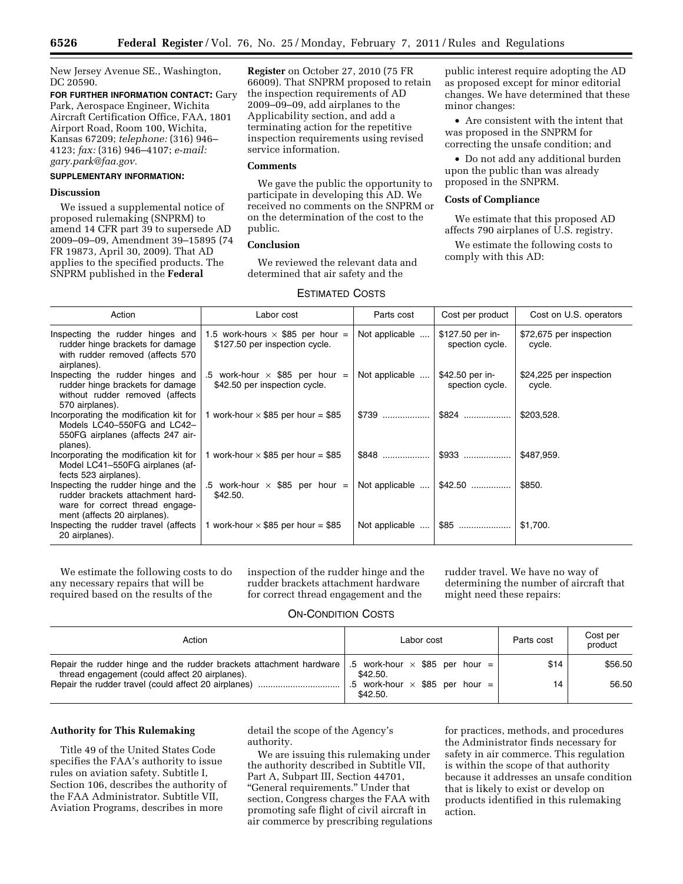New Jersey Avenue SE., Washington, DC 20590.

**FOR FURTHER INFORMATION CONTACT:** Gary Park, Aerospace Engineer, Wichita Aircraft Certification Office, FAA, 1801 Airport Road, Room 100, Wichita, Kansas 67209; *telephone:* (316) 946– 4123; *fax:* (316) 946–4107; *e-mail: [gary.park@faa.gov.](mailto:gary.park@faa.gov)* 

### **SUPPLEMENTARY INFORMATION:**

### **Discussion**

We issued a supplemental notice of proposed rulemaking (SNPRM) to amend 14 CFR part 39 to supersede AD 2009–09–09, Amendment 39–15895 (74 FR 19873, April 30, 2009). That AD applies to the specified products. The SNPRM published in the **Federal** 

**Register** on October 27, 2010 (75 FR 66009). That SNPRM proposed to retain the inspection requirements of AD 2009–09–09, add airplanes to the Applicability section, and add a terminating action for the repetitive inspection requirements using revised service information.

### **Comments**

We gave the public the opportunity to participate in developing this AD. We received no comments on the SNPRM or on the determination of the cost to the public.

# **Conclusion**

We reviewed the relevant data and determined that air safety and the

## ESTIMATED COSTS

public interest require adopting the AD as proposed except for minor editorial changes. We have determined that these minor changes:

• Are consistent with the intent that was proposed in the SNPRM for correcting the unsafe condition; and

• Do not add any additional burden upon the public than was already proposed in the SNPRM.

### **Costs of Compliance**

We estimate that this proposed AD affects 790 airplanes of U.S. registry.

We estimate the following costs to comply with this AD:

| Action                                                                                                                                     | Labor cost                                                                | Parts cost     | Cost per product                    | Cost on U.S. operators            |
|--------------------------------------------------------------------------------------------------------------------------------------------|---------------------------------------------------------------------------|----------------|-------------------------------------|-----------------------------------|
| Inspecting the rudder hinges and<br>rudder hinge brackets for damage<br>with rudder removed (affects 570<br>airplanes).                    | 1.5 work-hours $\times$ \$85 per hour =<br>\$127.50 per inspection cycle. | Not applicable | \$127.50 per in-<br>spection cycle. | \$72,675 per inspection<br>cycle. |
| Inspecting the rudder hinges and<br>rudder hinge brackets for damage<br>without rudder removed (affects<br>570 airplanes).                 | .5 work-hour $\times$ \$85 per hour =<br>\$42.50 per inspection cycle.    | Not applicable | \$42.50 per in-<br>spection cycle.  | \$24,225 per inspection<br>cycle. |
| Incorporating the modification kit for<br>Models LC40-550FG and LC42-<br>550FG airplanes (affects 247 air-<br>planes).                     | 1 work-hour $\times$ \$85 per hour = \$85                                 | $$739$         | $$824$                              | \$203,528.                        |
| Incorporating the modification kit for<br>Model LC41-550FG airplanes (af-<br>fects 523 airplanes).                                         | 1 work-hour $\times$ \$85 per hour = \$85                                 | $$848$         |                                     | \$487,959.                        |
| Inspecting the rudder hinge and the<br>rudder brackets attachment hard-<br>ware for correct thread engage-<br>ment (affects 20 airplanes). | .5 work-hour $\times$ \$85 per hour =<br>\$42.50.                         | Not applicable | $$42.50$                            | \$850.                            |
| Inspecting the rudder travel (affects<br>20 airplanes).                                                                                    | 1 work-hour $\times$ \$85 per hour = \$85                                 | Not applicable | $$85$                               | \$1,700.                          |

We estimate the following costs to do any necessary repairs that will be required based on the results of the

inspection of the rudder hinge and the rudder brackets attachment hardware for correct thread engagement and the

rudder travel. We have no way of determining the number of aircraft that might need these repairs:

### ON-CONDITION COSTS

| Action                                                                                                                                                                  | Labor cost                                        | Parts cost | Cost per<br>product |
|-------------------------------------------------------------------------------------------------------------------------------------------------------------------------|---------------------------------------------------|------------|---------------------|
| Repair the rudder hinge and the rudder brackets attachment hardware $\parallel$ .5 work-hour $\times$ \$85 per hour =<br>thread engagement (could affect 20 airplanes). | \$42.50.                                          | \$14       | \$56.50             |
| Repair the rudder travel (could affect 20 airplanes)                                                                                                                    | .5 work-hour $\times$ \$85 per hour =<br>\$42.50. | 14         | 56.50               |

# **Authority for This Rulemaking**

Title 49 of the United States Code specifies the FAA's authority to issue rules on aviation safety. Subtitle I, Section 106, describes the authority of the FAA Administrator. Subtitle VII, Aviation Programs, describes in more

detail the scope of the Agency's authority.

We are issuing this rulemaking under the authority described in Subtitle VII, Part A, Subpart III, Section 44701, ''General requirements.'' Under that section, Congress charges the FAA with promoting safe flight of civil aircraft in air commerce by prescribing regulations

for practices, methods, and procedures the Administrator finds necessary for safety in air commerce. This regulation is within the scope of that authority because it addresses an unsafe condition that is likely to exist or develop on products identified in this rulemaking action.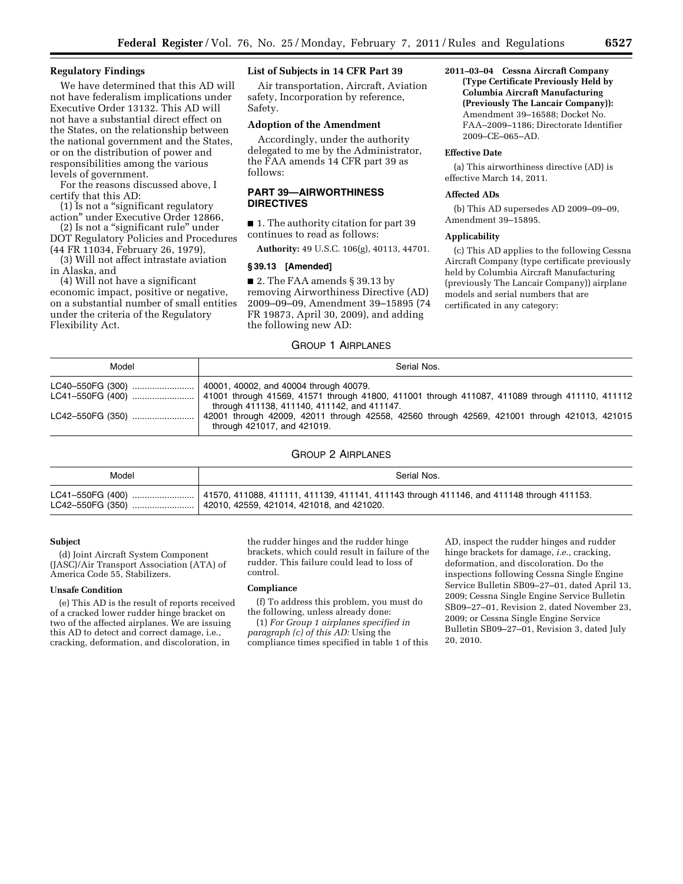### **Regulatory Findings**

We have determined that this AD will not have federalism implications under Executive Order 13132. This AD will not have a substantial direct effect on the States, on the relationship between the national government and the States, or on the distribution of power and responsibilities among the various levels of government.

For the reasons discussed above, I certify that this AD:

(1) Is not a ''significant regulatory action'' under Executive Order 12866,

(2) Is not a ''significant rule'' under DOT Regulatory Policies and Procedures (44 FR 11034, February 26, 1979),

(3) Will not affect intrastate aviation in Alaska, and

(4) Will not have a significant economic impact, positive or negative, on a substantial number of small entities under the criteria of the Regulatory Flexibility Act.

# **List of Subjects in 14 CFR Part 39**

Air transportation, Aircraft, Aviation safety, Incorporation by reference, Safety.

### **Adoption of the Amendment**

Accordingly, under the authority delegated to me by the Administrator, the FAA amends 14 CFR part 39 as follows:

# **PART 39—AIRWORTHINESS DIRECTIVES**

■ 1. The authority citation for part 39 continues to read as follows:

**Authority:** 49 U.S.C. 106(g), 40113, 44701.

#### **§ 39.13 [Amended]**

■ 2. The FAA amends § 39.13 by removing Airworthiness Directive (AD) 2009–09–09, Amendment 39–15895 (74 FR 19873, April 30, 2009), and adding the following new AD:

# GROUP 1 AIRPLANES

**2011–03–04 Cessna Aircraft Company (Type Certificate Previously Held by Columbia Aircraft Manufacturing (Previously The Lancair Company)):**  Amendment 39–16588; Docket No. FAA–2009–1186; Directorate Identifier 2009–CE–065–AD.

### **Effective Date**

(a) This airworthiness directive (AD) is effective March 14, 2011.

# **Affected ADs**

(b) This AD supersedes AD 2009–09–09, Amendment 39–15895.

#### **Applicability**

(c) This AD applies to the following Cessna Aircraft Company (type certificate previously held by Columbia Aircraft Manufacturing (previously The Lancair Company)) airplane models and serial numbers that are certificated in any category:

| Model | Serial Nos.                                                                                                                                                                             |
|-------|-----------------------------------------------------------------------------------------------------------------------------------------------------------------------------------------|
|       | 40001, 40002, and 40004 through 40079.<br>41001 through 41569, 41571 through 41800, 411001 through 411087, 411089 through 411110, 411112<br>through 411138, 411140, 411142, and 411147. |
|       | 42001 through 42009, 42011 through 42558, 42560 through 42569, 421001 through 421013, 421015<br>through 421017, and 421019.                                                             |

## GROUP 2 AIRPLANES

| Model            | Serial Nos.                                                                              |  |  |
|------------------|------------------------------------------------------------------------------------------|--|--|
| LC41-550FG (400) | 41570, 411088, 411111, 411139, 411141, 411143 through 411146, and 411148 through 411153. |  |  |
| LC42-550FG (350) | 42010, 42559, 421014, 421018, and 421020.                                                |  |  |

#### **Subject**

(d) Joint Aircraft System Component (JASC)/Air Transport Association (ATA) of America Code 55, Stabilizers.

#### **Unsafe Condition**

(e) This AD is the result of reports received of a cracked lower rudder hinge bracket on two of the affected airplanes. We are issuing this AD to detect and correct damage, i.e., cracking, deformation, and discoloration, in

the rudder hinges and the rudder hinge brackets, which could result in failure of the rudder. This failure could lead to loss of control.

## **Compliance**

(f) To address this problem, you must do the following, unless already done:

(1) *For Group 1 airplanes specified in paragraph (c) of this AD:* Using the compliance times specified in table 1 of this

AD, inspect the rudder hinges and rudder hinge brackets for damage, *i.e.,* cracking, deformation, and discoloration. Do the inspections following Cessna Single Engine Service Bulletin SB09–27–01, dated April 13, 2009; Cessna Single Engine Service Bulletin SB09–27–01, Revision 2, dated November 23, 2009; or Cessna Single Engine Service Bulletin SB09–27–01, Revision 3, dated July 20, 2010.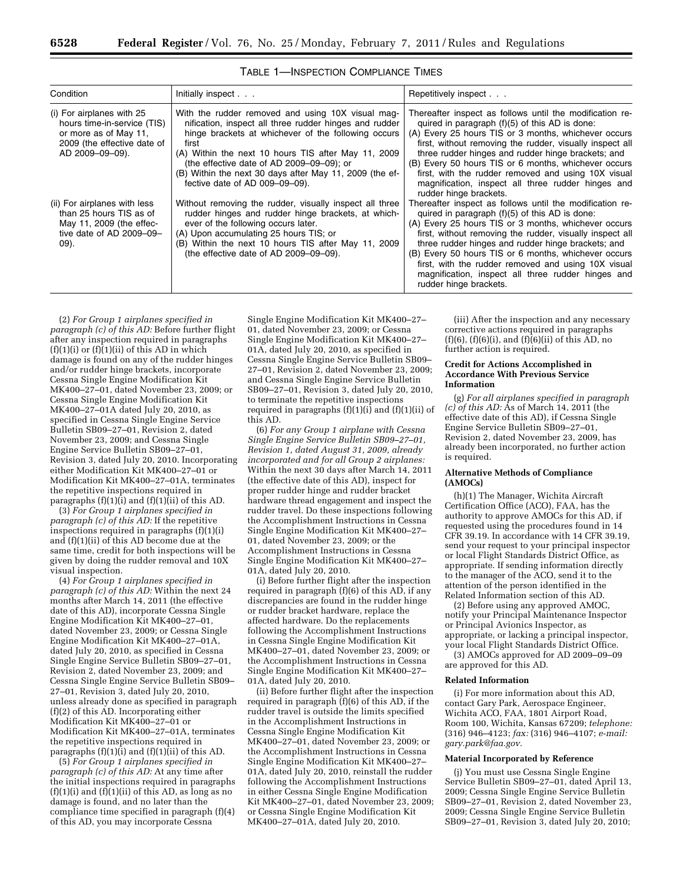| Condition                                                                                                                           | Initially inspect                                                                                                                                                                                                                                                                                                                                                            | Repetitively inspect                                                                                                                                                                                                                                                                                                                                                                                                                                                                  |
|-------------------------------------------------------------------------------------------------------------------------------------|------------------------------------------------------------------------------------------------------------------------------------------------------------------------------------------------------------------------------------------------------------------------------------------------------------------------------------------------------------------------------|---------------------------------------------------------------------------------------------------------------------------------------------------------------------------------------------------------------------------------------------------------------------------------------------------------------------------------------------------------------------------------------------------------------------------------------------------------------------------------------|
| (i) For airplanes with 25<br>hours time-in-service (TIS)<br>or more as of May 11.<br>2009 (the effective date of<br>AD 2009-09-09). | With the rudder removed and using 10X visual mag-<br>nification, inspect all three rudder hinges and rudder<br>hinge brackets at whichever of the following occurs<br>first<br>(A) Within the next 10 hours TIS after May 11, 2009<br>(the effective date of AD 2009–09–09); or<br>(B) Within the next 30 days after May 11, 2009 (the ef-<br>fective date of AD 009-09-09). | Thereafter inspect as follows until the modification re-<br>quired in paragraph $(f)(5)$ of this AD is done:<br>(A) Every 25 hours TIS or 3 months, whichever occurs<br>first, without removing the rudder, visually inspect all<br>three rudder hinges and rudder hinge brackets; and<br>(B) Every 50 hours TIS or 6 months, whichever occurs<br>first, with the rudder removed and using 10X visual<br>magnification, inspect all three rudder hinges and<br>rudder hinge brackets. |
| (ii) For airplanes with less<br>than 25 hours TIS as of<br>May 11, 2009 (the effec-<br>tive date of AD 2009-09-<br>09).             | Without removing the rudder, visually inspect all three<br>rudder hinges and rudder hinge brackets, at which-<br>ever of the following occurs later.<br>(A) Upon accumulating 25 hours TIS; or<br>(B) Within the next 10 hours TIS after May 11, 2009<br>(the effective date of AD 2009-09-09).                                                                              | Thereafter inspect as follows until the modification re-<br>quired in paragraph $(f)(5)$ of this AD is done:<br>(A) Every 25 hours TIS or 3 months, whichever occurs<br>first, without removing the rudder, visually inspect all<br>three rudder hinges and rudder hinge brackets; and<br>(B) Every 50 hours TIS or 6 months, whichever occurs<br>first, with the rudder removed and using 10X visual<br>magnification, inspect all three rudder hinges and<br>rudder hinge brackets. |

|  | <b>TABLE 1-INSPECTION COMPLIANCE TIMES</b> |  |
|--|--------------------------------------------|--|
|  |                                            |  |

(2) *For Group 1 airplanes specified in paragraph (c) of this AD:* Before further flight after any inspection required in paragraphs  $(f)(1)(i)$  or  $(f)(1)(ii)$  of this AD in which damage is found on any of the rudder hinges and/or rudder hinge brackets, incorporate Cessna Single Engine Modification Kit MK400–27–01, dated November 23, 2009; or Cessna Single Engine Modification Kit MK400–27–01A dated July 20, 2010, as specified in Cessna Single Engine Service Bulletin SB09–27–01, Revision 2, dated November 23, 2009; and Cessna Single Engine Service Bulletin SB09–27–01, Revision 3, dated July 20, 2010. Incorporating either Modification Kit MK400–27–01 or Modification Kit MK400–27–01A, terminates the repetitive inspections required in paragraphs  $(f)(1)(i)$  and  $(f)(1)(ii)$  of this AD.

(3) *For Group 1 airplanes specified in paragraph (c) of this AD:* If the repetitive inspections required in paragraphs (f)(1)(i) and (f)(1)(ii) of this AD become due at the same time, credit for both inspections will be given by doing the rudder removal and 10X visual inspection.

(4) *For Group 1 airplanes specified in paragraph (c) of this AD:* Within the next 24 months after March 14, 2011 (the effective date of this AD), incorporate Cessna Single Engine Modification Kit MK400–27–01, dated November 23, 2009; or Cessna Single Engine Modification Kit MK400–27–01A, dated July 20, 2010, as specified in Cessna Single Engine Service Bulletin SB09–27–01, Revision 2, dated November 23, 2009; and Cessna Single Engine Service Bulletin SB09– 27–01, Revision 3, dated July 20, 2010, unless already done as specified in paragraph (f)(2) of this AD. Incorporating either Modification Kit MK400–27–01 or Modification Kit MK400–27–01A, terminates the repetitive inspections required in paragraphs  $(f)(1)(i)$  and  $(f)(1)(ii)$  of this AD.

(5) *For Group 1 airplanes specified in paragraph (c) of this AD:* At any time after the initial inspections required in paragraphs  $(f)(1)(i)$  and  $(f)(1)(ii)$  of this AD, as long as no damage is found, and no later than the compliance time specified in paragraph (f)(4) of this AD, you may incorporate Cessna

Single Engine Modification Kit MK400–27– 01, dated November 23, 2009; or Cessna Single Engine Modification Kit MK400–27– 01A, dated July 20, 2010, as specified in Cessna Single Engine Service Bulletin SB09– 27–01, Revision 2, dated November 23, 2009; and Cessna Single Engine Service Bulletin SB09–27–01, Revision 3, dated July 20, 2010, to terminate the repetitive inspections required in paragraphs  $(f)(1)(i)$  and  $(f)(1)(ii)$  of this AD.

(6) *For any Group 1 airplane with Cessna Single Engine Service Bulletin SB09–27–01, Revision 1, dated August 31, 2009, already incorporated and for all Group 2 airplanes:*  Within the next 30 days after March 14, 2011 (the effective date of this AD), inspect for proper rudder hinge and rudder bracket hardware thread engagement and inspect the rudder travel. Do these inspections following the Accomplishment Instructions in Cessna Single Engine Modification Kit MK400–27– 01, dated November 23, 2009; or the Accomplishment Instructions in Cessna Single Engine Modification Kit MK400–27– 01A, dated July 20, 2010.

(i) Before further flight after the inspection required in paragraph (f)(6) of this AD, if any discrepancies are found in the rudder hinge or rudder bracket hardware, replace the affected hardware. Do the replacements following the Accomplishment Instructions in Cessna Single Engine Modification Kit MK400–27–01, dated November 23, 2009; or the Accomplishment Instructions in Cessna Single Engine Modification Kit MK400–27– 01A, dated July 20, 2010.

(ii) Before further flight after the inspection required in paragraph  $(f)(6)$  of this AD, if the rudder travel is outside the limits specified in the Accomplishment Instructions in Cessna Single Engine Modification Kit MK400–27–01, dated November 23, 2009; or the Accomplishment Instructions in Cessna Single Engine Modification Kit MK400–27– 01A, dated July 20, 2010, reinstall the rudder following the Accomplishment Instructions in either Cessna Single Engine Modification Kit MK400–27–01, dated November 23, 2009; or Cessna Single Engine Modification Kit MK400–27–01A, dated July 20, 2010.

(iii) After the inspection and any necessary corrective actions required in paragraphs  $(f)(6)$ ,  $(f)(6)(i)$ , and  $(f)(6)(ii)$  of this AD, no further action is required.

### **Credit for Actions Accomplished in Accordance With Previous Service Information**

(g) *For all airplanes specified in paragraph (c) of this AD:* As of March 14, 2011 (the effective date of this AD), if Cessna Single Engine Service Bulletin SB09–27–01, Revision 2, dated November 23, 2009, has already been incorporated, no further action is required.

### **Alternative Methods of Compliance (AMOCs)**

(h)(1) The Manager, Wichita Aircraft Certification Office (ACO), FAA, has the authority to approve AMOCs for this AD, if requested using the procedures found in 14 CFR 39.19. In accordance with 14 CFR 39.19, send your request to your principal inspector or local Flight Standards District Office, as appropriate. If sending information directly to the manager of the ACO, send it to the attention of the person identified in the Related Information section of this AD.

(2) Before using any approved AMOC, notify your Principal Maintenance Inspector or Principal Avionics Inspector, as appropriate, or lacking a principal inspector, your local Flight Standards District Office.

(3) AMOCs approved for AD 2009–09–09 are approved for this AD.

# **Related Information**

(i) For more information about this AD, contact Gary Park, Aerospace Engineer, Wichita ACO, FAA, 1801 Airport Road, Room 100, Wichita, Kansas 67209; *telephone:*  (316) 946–4123; *fax:* (316) 946–4107; *e-mail: [gary.park@faa.gov.](mailto:gary.park@faa.gov)* 

### **Material Incorporated by Reference**

(j) You must use Cessna Single Engine Service Bulletin SB09–27–01, dated April 13, 2009; Cessna Single Engine Service Bulletin SB09–27–01, Revision 2, dated November 23, 2009; Cessna Single Engine Service Bulletin SB09–27–01, Revision 3, dated July 20, 2010;